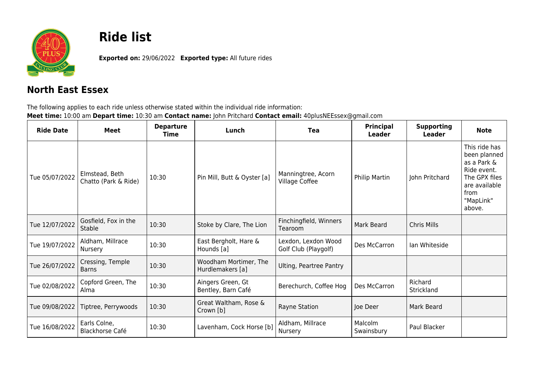

## **Ride list**

**Exported on:** 29/06/2022 **Exported type:** All future rides

## **North East Essex**

The following applies to each ride unless otherwise stated within the individual ride information: **Meet time:** 10:00 am **Depart time:** 10:30 am **Contact name:** John Pritchard **Contact email:** 40plusNEEssex@gmail.com

| <b>Ride Date</b> | <b>Meet</b>                            | <b>Departure</b><br>Time | Lunch                                     | <b>Tea</b>                                  | <b>Principal</b><br><b>Leader</b> | <b>Supporting</b><br>Leader | <b>Note</b>                                                                                                                  |
|------------------|----------------------------------------|--------------------------|-------------------------------------------|---------------------------------------------|-----------------------------------|-----------------------------|------------------------------------------------------------------------------------------------------------------------------|
| Tue 05/07/2022   | Elmstead, Beth<br>Chatto (Park & Ride) | 10:30                    | Pin Mill, Butt & Oyster [a]               | Manningtree, Acorn<br>Village Coffee        | Philip Martin                     | John Pritchard              | This ride has<br>been planned<br>as a Park &<br>Ride event.<br>The GPX files<br>are available<br>from<br>"MapLink"<br>above. |
| Tue 12/07/2022   | Gosfield, Fox in the<br>Stable         | 10:30                    | Stoke by Clare, The Lion                  | Finchingfield, Winners<br>Tearoom           | Mark Beard                        | Chris Mills                 |                                                                                                                              |
| Tue 19/07/2022   | Aldham, Millrace<br>Nursery            | 10:30                    | East Bergholt, Hare &<br>Hounds [a]       | Lexdon, Lexdon Wood<br>Golf Club (Playgolf) | Des McCarron                      | Ian Whiteside               |                                                                                                                              |
| Tue 26/07/2022   | Cressing, Temple<br><b>Barns</b>       | 10:30                    | Woodham Mortimer, The<br>Hurdlemakers [a] | Ulting, Peartree Pantry                     |                                   |                             |                                                                                                                              |
| Tue 02/08/2022   | Copford Green, The<br>Alma             | 10:30                    | Aingers Green, Gt<br>Bentley, Barn Café   | Berechurch, Coffee Hog                      | Des McCarron                      | Richard<br>Strickland       |                                                                                                                              |
| Tue 09/08/2022   | Tiptree, Perrywoods                    | 10:30                    | Great Waltham, Rose &<br>Crown [b]        | Rayne Station                               | Joe Deer                          | Mark Beard                  |                                                                                                                              |
| Tue 16/08/2022   | Earls Colne,<br><b>Blackhorse Café</b> | 10:30                    | Lavenham, Cock Horse [b]                  | Aldham, Millrace<br>Nursery                 | Malcolm<br>Swainsbury             | Paul Blacker                |                                                                                                                              |